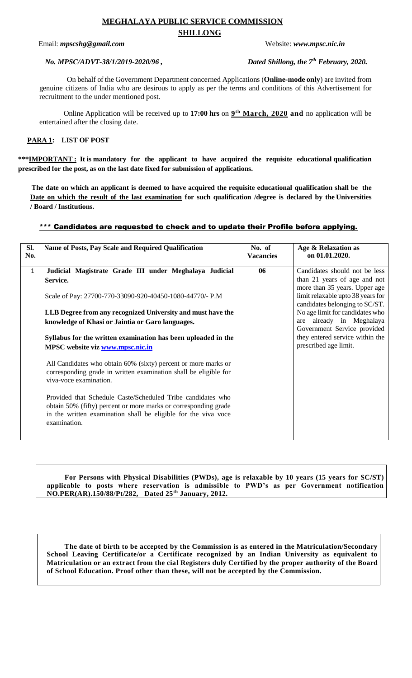# **MEGHALAYA PUBLIC SERVICE COMMISSION SHILLONG**

Email: *mpscshg@gmail.com* Website: *www.mpsc.nic.in* 

# *No. MPSC/ADVT-38/1/2019-2020/96*,

Dated Shillong, the 7<sup>th</sup> February, 2020.

On behalf of the Government Department concerned Applications (**Online-mode only**) are invited from genuine citizens of India who are desirous to apply as per the terms and conditions of this Advertisement for recruitment to the under mentioned post.

Online Application will be received up to **17:00 hrs** on **9 th March, 2020 and** no application will be entertained after the closing date.

# **PARA 1: LIST OF POST**

**\*\*\*IMPORTANT : It is mandatory for the applicant to have acquired the requisite educational qualification prescribed for the post, as on the last date fixed for submission of applications.**

**The date on which an applicant is deemed to have acquired the requisite educational qualification shall be the Date on which the result of the last examination for such qualification /degree is declared by the Universities / Board / Institutions.**

## \*\*\* Candidates are requested to check and to update their Profile before applying.

| SI.<br>No.   | Name of Posts, Pay Scale and Required Qualification                                                                                                                                                              | No. of<br><b>Vacancies</b> | Age & Relaxation as<br>on 01.01.2020.                                                                                               |
|--------------|------------------------------------------------------------------------------------------------------------------------------------------------------------------------------------------------------------------|----------------------------|-------------------------------------------------------------------------------------------------------------------------------------|
| $\mathbf{1}$ | Judicial Magistrate Grade III under Meghalaya Judicial<br><b>Service.</b><br>Scale of Pay: 27700-770-33090-920-40450-1080-44770/- P.M                                                                            | 06                         | Candidates should not be less<br>than 21 years of age and not<br>more than 35 years. Upper age<br>limit relaxable upto 38 years for |
|              | LLB Degree from any recognized University and must have the<br>knowledge of Khasi or Jaintia or Garo languages.                                                                                                  |                            | candidates belonging to SC/ST.<br>No age limit for candidates who<br>are already in Meghalaya<br>Government Service provided        |
|              | Syllabus for the written examination has been uploaded in the<br>MPSC website viz www.mpsc.nic.in                                                                                                                |                            | they entered service within the<br>prescribed age limit.                                                                            |
|              | All Candidates who obtain 60% (sixty) percent or more marks or<br>corresponding grade in written examination shall be eligible for<br>viva-voce examination.                                                     |                            |                                                                                                                                     |
|              | Provided that Schedule Caste/Scheduled Tribe candidates who<br>obtain 50% (fifty) percent or more marks or corresponding grade<br>in the written examination shall be eligible for the viva voce<br>examination. |                            |                                                                                                                                     |

 **For Persons with Physical Disabilities (PWDs), age is relaxable by 10 years (15 years for SC/ST) applicable to posts where reservation is admissible to PWD's as per Government notification NO.PER(AR).150/88/Pt/282, Dated 25th January, 2012.**

 **The date of birth to be accepted by the Commission is as entered in the Matriculation/Secondary School Leaving Certificate/or a Certificate recognized by an Indian University as equivalent to Matriculation or an extract from the cial Registers duly Certified by the proper authority of the Board of School Education. Proof other than these, will not be accepted by the Commission.**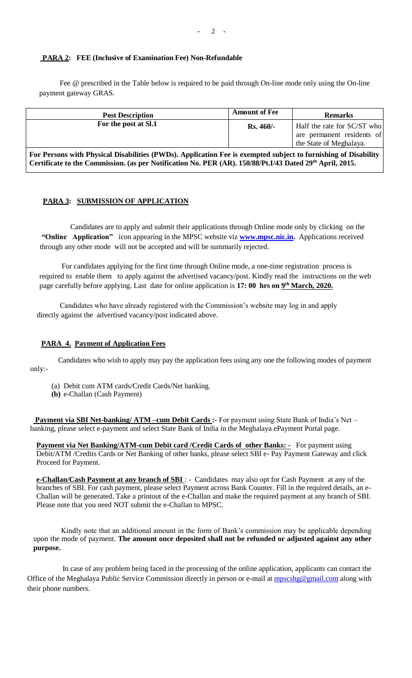### **PARA 2: FEE (Inclusive of Examination Fee) Non-Refundable**

 Fee @ prescribed in the Table below is required to be paid through On-line mode only using the On-line payment gateway GRAS.

| <b>Post Description</b>                                                                                                                                                                                                                | <b>Amount of Fee</b> | <b>Remarks</b>                                                                       |  |  |
|----------------------------------------------------------------------------------------------------------------------------------------------------------------------------------------------------------------------------------------|----------------------|--------------------------------------------------------------------------------------|--|--|
| For the post at Sl.1                                                                                                                                                                                                                   | $Rs.460/-$           | Half the rate for SC/ST who<br>are permanent residents of<br>the State of Meghalaya. |  |  |
| For Persons with Physical Disabilities (PWDs). Application Fee is exempted subject to furnishing of Disability<br>Certificate to the Commission. (as per Notification No. PER (AR). 150/88/Pt.I/43 Dated 29 <sup>th</sup> April, 2015. |                      |                                                                                      |  |  |

#### **PARA 3: SUBMISSION OF APPLICATION**

 Candidates are to apply and submit their applications through Online mode only by clicking on the **"Online Application"** icon appearing in the MPSC website viz **[www.mpsc.nic.in.](http://www.mpsc.nic.in/)** Applications received through any other mode will not be accepted and will be summarily rejected.

 For candidates applying for the first time through Online mode, a one-time registration process is required to enable them to apply against the advertised vacancy/post. Kindly read the instructions on the web page carefully before applying. Last date for online application is 17: 00 hrs on  $9<sup>th</sup> March, 2020$ .

 Candidates who have already registered with the Commission's website may log in and apply directly against the advertised vacancy/post indicated above.

#### **PARA 4. Payment of Application Fees**

 Candidates who wish to apply may pay the application fees using any one the following modes of payment only:-

- (a) Debit cum ATM cards/Credit Cards/Net banking.
- **(b)** e-Challan (Cash Payment)

Payment via SBI Net-banking/ ATM -cum Debit Cards: For payment using State Bank of India's Net banking, please select e-payment and select State Bank of India in the Meghalaya ePayment Portal page.

**Payment via Net Banking/ATM-cum Debit card / Credit Cards of other Banks:** - For payment using Debit/ATM /Credits Cards or Net Banking of other banks, please select SBI e- Pay Payment Gateway and click Proceed for Payment.

**e-Challan/Cash Payment at any branch of SBI** : - Candidates may also opt for Cash Payment at any of the branches of SBI. For cash payment, please select Payment across Bank Counter. Fill in the required details, an e-Challan will be generated. Take a printout of the e-Challan and make the required payment at any branch of SBI. Please note that you need NOT submit the e-Challan to MPSC.

Kindly note that an additional amount in the form of Bank's commission may be applicable depending upon the mode of payment. **The amount once deposited shall not be refunded or adjusted against any other purpose.**

 In case of any problem being faced in the processing of the online application, applicants can contact the Office of the Meghalaya Public Service Commission directly in person or e-mail at [mpscshg@gmail.com](mailto:mpscshg@gmail.com) along with their phone numbers.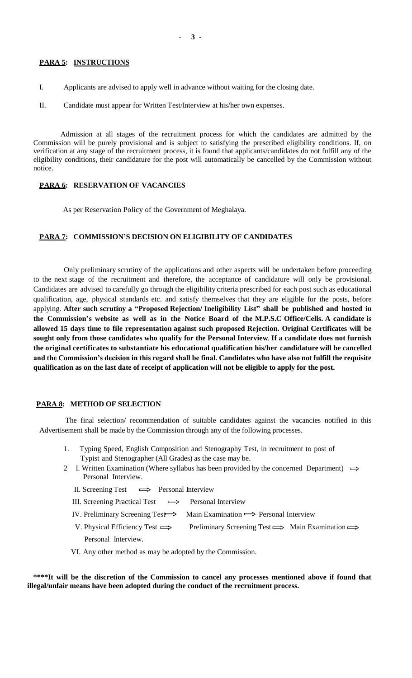#### **PARA 5: INSTRUCTIONS**

- I. Applicants are advised to apply well in advance without waiting for the closing date.
- II. Candidate must appear for Written Test/Interview at his/her own expenses.

 Admission at all stages of the recruitment process for which the candidates are admitted by the Commission will be purely provisional and is subject to satisfying the prescribed eligibility conditions. If, on verification at any stage of the recruitment process, it is found that applicants/candidates do not fulfill any of the eligibility conditions, their candidature for the post will automatically be cancelled by the Commission without notice.

### **PARA 6: RESERVATION OF VACANCIES**

As per Reservation Policy of the Government of Meghalaya.

# **PARA 7: COMMISSION'S DECISION ON ELIGIBILITY OF CANDIDATES**

Only preliminary scrutiny of the applications and other aspects will be undertaken before proceeding to the next stage of the recruitment and therefore, the acceptance of candidature will only be provisional. Candidates are advised to carefully go through the eligibility criteria prescribed for each post such as educational qualification, age, physical standards etc. and satisfy themselves that they are eligible for the posts, before applying. **After such scrutiny a "Proposed Rejection/ Ineligibility List" shall be published and hosted in the Commission's website as well as in the Notice Board of the M.P.S.C Office/Cells. A candidate is allowed 15 days time to file representation against such proposed Rejection. Original Certificates will be sought only from those candidates who qualify for the Personal Interview**. **If a candidate does not furnish the original certificates to substantiate his educational qualification his/her candidature will be cancelled and the Commission's decision in this regard shall be final. Candidates who have also not fulfill the requisite qualification as on the last date of receipt of application will not be eligible to apply for the post.** 

#### **PARA 8: METHOD OF SELECTION**

 The final selection/ recommendation of suitable candidates against the vacancies notified in this Advertisement shall be made by the Commission through any of the following processes.

- 1. Typing Speed, English Composition and Stenography Test, in recruitment to post of Typist and Stenographer (All Grades) as the case may be.
- 2 I. Written Examination (Where syllabus has been provided by the concerned Department)  $\implies$  Personal Interview.
	- II. Screening Test  $\implies$  Personal Interview
	- III. Screening Practical Test  $\implies$  Personal Interview
	- IV. Preliminary Screening Test  $\Longrightarrow$  Main Examination  $\Longrightarrow$  Personal Interview
	- V. Physical Efficiency Test  $\implies$  Preliminary Screening Test  $\implies$  Main Examination  $\implies$ Personal Interview.

VI. Any other method as may be adopted by the Commission.

 **\*\*\*\*It will be the discretion of the Commission to cancel any processes mentioned above if found that illegal/unfair means have been adopted during the conduct of the recruitment process.**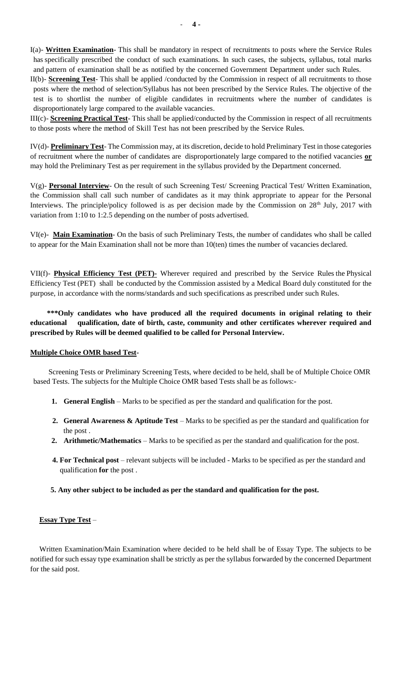II(b)- **Screening Test**- This shall be applied /conducted by the Commission in respect of all recruitments to those posts where the method of selection/Syllabus has not been prescribed by the Service Rules. The objective of the test is to shortlist the number of eligible candidates in recruitments where the number of candidates is disproportionately large compared to the available vacancies.

III(c)- **Screening Practical Test**- This shall be applied/conducted by the Commission in respect of all recruitments to those posts where the method of Skill Test has not been prescribed by the Service Rules.

IV(d)- **Preliminary Test**- The Commission may, at its discretion, decide to hold Preliminary Test in those categories of recruitment where the number of candidates are disproportionately large compared to the notified vacancies **or** may hold the Preliminary Test as per requirement in the syllabus provided by the Department concerned.

V(g)- **Personal Interview**- On the result of such Screening Test/ Screening Practical Test/ Written Examination, the Commission shall call such number of candidates as it may think appropriate to appear for the Personal Interviews. The principle/policy followed is as per decision made by the Commission on 28<sup>th</sup> July, 2017 with variation from 1:10 to 1:2.5 depending on the number of posts advertised.

VI(e)- **Main Examination**- On the basis of such Preliminary Tests, the number of candidates who shall be called to appear for the Main Examination shall not be more than 10(ten) times the number of vacancies declared.

VII(f)- **Physical Efficiency Test (PET)-** Wherever required and prescribed by the Service Rules the Physical Efficiency Test (PET) shall be conducted by the Commission assisted by a Medical Board duly constituted for the purpose, in accordance with the norms/standards and such specifications as prescribed under such Rules.

 **\*\*\*Only candidates who have produced all the required documents in original relating to their educational qualification, date of birth, caste, community and other certificates wherever required and prescribed by Rules will be deemed qualified to be called for Personal Interview.**

## **Multiple Choice OMR based Test-**

Screening Tests or Preliminary Screening Tests, where decided to be held, shall be of Multiple Choice OMR based Tests. The subjects for the Multiple Choice OMR based Tests shall be as follows:-

- **1. General English** Marks to be specified as per the standard and qualification for the post.
- **2. General Awareness & Aptitude Test** Marks to be specified as per the standard and qualification for the post .
- **2. Arithmetic/Mathematics** Marks to be specified as per the standard and qualification for the post.
- **4. For Technical post** relevant subjects will be included Marks to be specified as per the standard and qualification **for** the post .
- **5. Any other subject to be included as per the standard and qualification for the post.**

## **Essay Type Test** –

Written Examination/Main Examination where decided to be held shall be of Essay Type. The subjects to be notified for such essay type examination shall be strictly as per the syllabus forwarded by the concerned Department for the said post.